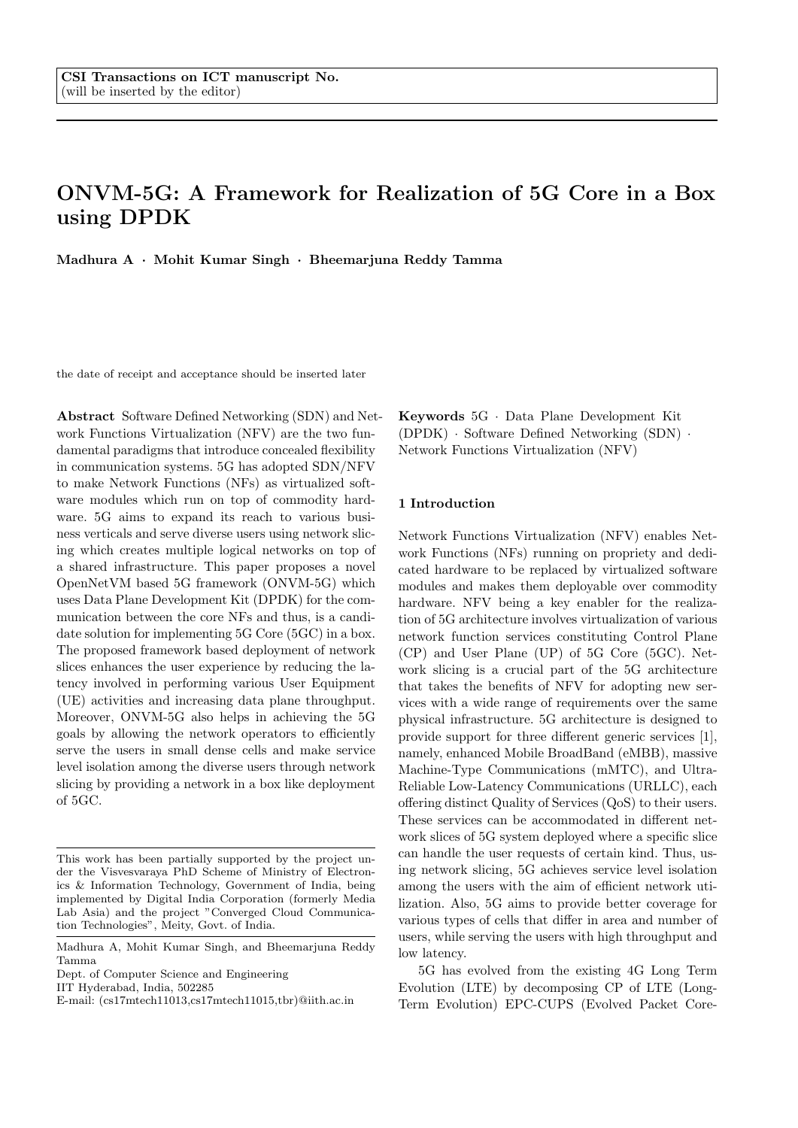# ONVM-5G: A Framework for Realization of 5G Core in a Box using DPDK

Madhura A · Mohit Kumar Singh · Bheemarjuna Reddy Tamma

the date of receipt and acceptance should be inserted later

Abstract Software Defined Networking (SDN) and Network Functions Virtualization (NFV) are the two fundamental paradigms that introduce concealed flexibility in communication systems. 5G has adopted SDN/NFV to make Network Functions (NFs) as virtualized software modules which run on top of commodity hardware. 5G aims to expand its reach to various business verticals and serve diverse users using network slicing which creates multiple logical networks on top of a shared infrastructure. This paper proposes a novel OpenNetVM based 5G framework (ONVM-5G) which uses Data Plane Development Kit (DPDK) for the communication between the core NFs and thus, is a candidate solution for implementing 5G Core (5GC) in a box. The proposed framework based deployment of network slices enhances the user experience by reducing the latency involved in performing various User Equipment (UE) activities and increasing data plane throughput. Moreover, ONVM-5G also helps in achieving the 5G goals by allowing the network operators to efficiently serve the users in small dense cells and make service level isolation among the diverse users through network slicing by providing a network in a box like deployment of 5GC.

Dept. of Computer Science and Engineering

IIT Hyderabad, India, 502285

Keywords 5G · Data Plane Development Kit (DPDK) · Software Defined Networking (SDN) · Network Functions Virtualization (NFV)

## 1 Introduction

Network Functions Virtualization (NFV) enables Network Functions (NFs) running on propriety and dedicated hardware to be replaced by virtualized software modules and makes them deployable over commodity hardware. NFV being a key enabler for the realization of 5G architecture involves virtualization of various network function services constituting Control Plane (CP) and User Plane (UP) of 5G Core (5GC). Network slicing is a crucial part of the 5G architecture that takes the benefits of NFV for adopting new services with a wide range of requirements over the same physical infrastructure. 5G architecture is designed to provide support for three different generic services [1], namely, enhanced Mobile BroadBand (eMBB), massive Machine-Type Communications (mMTC), and Ultra-Reliable Low-Latency Communications (URLLC), each offering distinct Quality of Services (QoS) to their users. These services can be accommodated in different network slices of 5G system deployed where a specific slice can handle the user requests of certain kind. Thus, using network slicing, 5G achieves service level isolation among the users with the aim of efficient network utilization. Also, 5G aims to provide better coverage for various types of cells that differ in area and number of users, while serving the users with high throughput and low latency.

5G has evolved from the existing 4G Long Term Evolution (LTE) by decomposing CP of LTE (Long-Term Evolution) EPC-CUPS (Evolved Packet Core-

This work has been partially supported by the project under the Visvesvaraya PhD Scheme of Ministry of Electronics & Information Technology, Government of India, being implemented by Digital India Corporation (formerly Media Lab Asia) and the project "Converged Cloud Communication Technologies", Meity, Govt. of India.

Madhura A, Mohit Kumar Singh, and Bheemarjuna Reddy Tamma

E-mail: (cs17mtech11013,cs17mtech11015,tbr)@iith.ac.in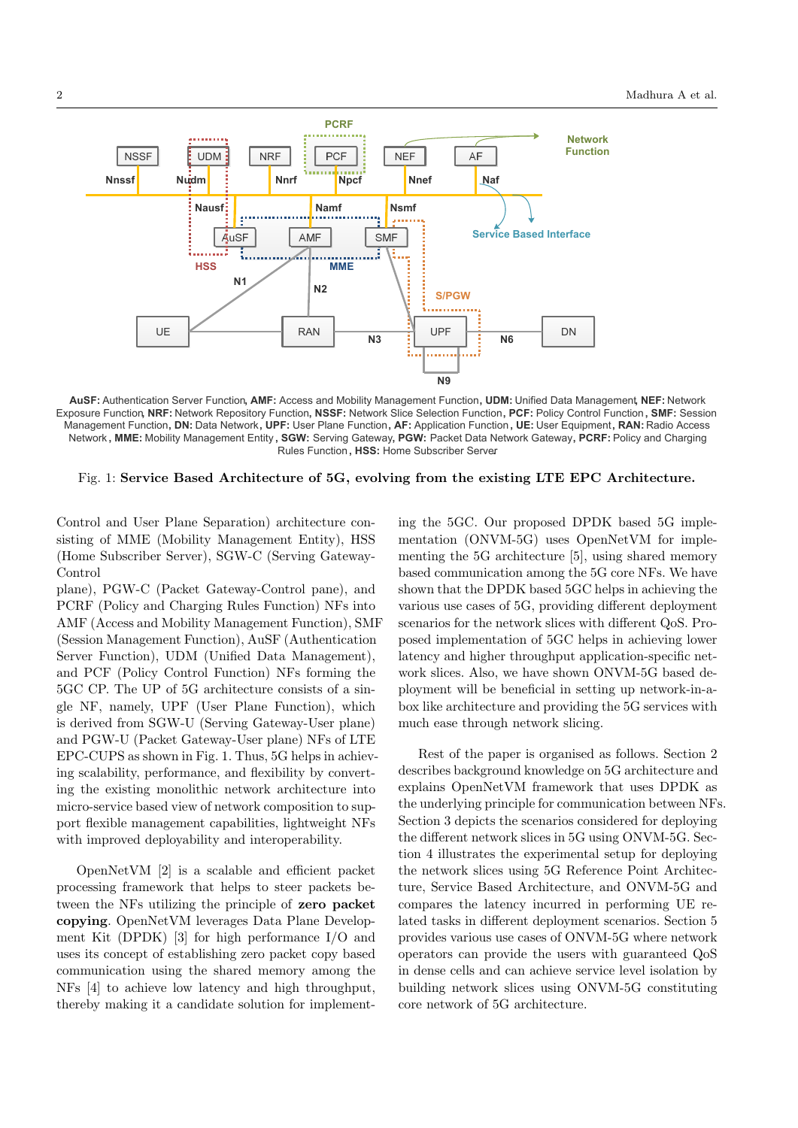

**AuSF:** Authentication Server Function **, AMF:** Access and Mobility Management Function **, UDM:** Unified Data Management **, NEF:** Network Exposure Function**, NRF:** Network Repository Function **, NSSF:** Network Slice Selection Function **, PCF:** Policy Control Function **, SMF:** Session Management Function **, DN:** Data Network **, UPF:** User Plane Function **, AF:** Application Function **, UE:** User Equipment **, RAN:** Radio Access Network **, MME:** Mobility Management Entity **, SGW:** Serving Gateway **, PGW:** Packet Data Network Gateway **, PCRF:** Policy and Charging Rules Function **, HSS:** Home Subscriber Server**.**

Fig. 1: Service Based Architecture of 5G, evolving from the existing LTE EPC Architecture.

Control and User Plane Separation) architecture consisting of MME (Mobility Management Entity), HSS (Home Subscriber Server), SGW-C (Serving Gateway-Control

plane), PGW-C (Packet Gateway-Control pane), and PCRF (Policy and Charging Rules Function) NFs into AMF (Access and Mobility Management Function), SMF (Session Management Function), AuSF (Authentication Server Function), UDM (Unified Data Management), and PCF (Policy Control Function) NFs forming the 5GC CP. The UP of 5G architecture consists of a single NF, namely, UPF (User Plane Function), which is derived from SGW-U (Serving Gateway-User plane) and PGW-U (Packet Gateway-User plane) NFs of LTE EPC-CUPS as shown in Fig. 1. Thus, 5G helps in achieving scalability, performance, and flexibility by converting the existing monolithic network architecture into micro-service based view of network composition to support flexible management capabilities, lightweight NFs with improved deployability and interoperability.

OpenNetVM [2] is a scalable and efficient packet processing framework that helps to steer packets between the NFs utilizing the principle of zero packet copying. OpenNetVM leverages Data Plane Development Kit (DPDK) [3] for high performance I/O and uses its concept of establishing zero packet copy based communication using the shared memory among the NFs [4] to achieve low latency and high throughput, thereby making it a candidate solution for implementing the 5GC. Our proposed DPDK based 5G implementation (ONVM-5G) uses OpenNetVM for implementing the 5G architecture [5], using shared memory based communication among the 5G core NFs. We have shown that the DPDK based 5GC helps in achieving the various use cases of 5G, providing different deployment scenarios for the network slices with different QoS. Proposed implementation of 5GC helps in achieving lower latency and higher throughput application-specific network slices. Also, we have shown ONVM-5G based deployment will be beneficial in setting up network-in-abox like architecture and providing the 5G services with much ease through network slicing.

Rest of the paper is organised as follows. Section 2 describes background knowledge on 5G architecture and explains OpenNetVM framework that uses DPDK as the underlying principle for communication between NFs. Section 3 depicts the scenarios considered for deploying the different network slices in 5G using ONVM-5G. Section 4 illustrates the experimental setup for deploying the network slices using 5G Reference Point Architecture, Service Based Architecture, and ONVM-5G and compares the latency incurred in performing UE related tasks in different deployment scenarios. Section 5 provides various use cases of ONVM-5G where network operators can provide the users with guaranteed QoS in dense cells and can achieve service level isolation by building network slices using ONVM-5G constituting core network of 5G architecture.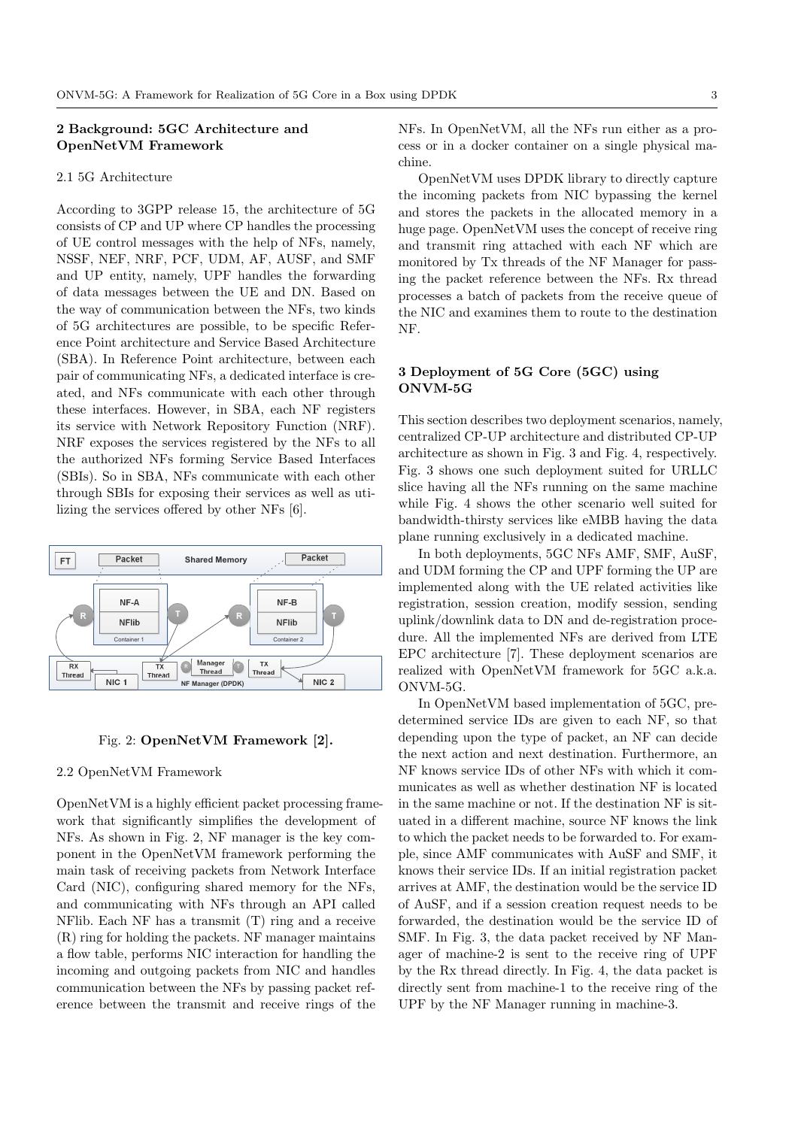# 2 Background: 5GC Architecture and OpenNetVM Framework

## 2.1 5G Architecture

According to 3GPP release 15, the architecture of 5G consists of CP and UP where CP handles the processing of UE control messages with the help of NFs, namely, NSSF, NEF, NRF, PCF, UDM, AF, AUSF, and SMF and UP entity, namely, UPF handles the forwarding of data messages between the UE and DN. Based on the way of communication between the NFs, two kinds of 5G architectures are possible, to be specific Reference Point architecture and Service Based Architecture (SBA). In Reference Point architecture, between each pair of communicating NFs, a dedicated interface is created, and NFs communicate with each other through these interfaces. However, in SBA, each NF registers its service with Network Repository Function (NRF). NRF exposes the services registered by the NFs to all the authorized NFs forming Service Based Interfaces (SBIs). So in SBA, NFs communicate with each other through SBIs for exposing their services as well as utilizing the services offered by other NFs [6].





## 2.2 OpenNetVM Framework

OpenNetVM is a highly efficient packet processing framework that significantly simplifies the development of NFs. As shown in Fig. 2, NF manager is the key component in the OpenNetVM framework performing the main task of receiving packets from Network Interface Card (NIC), configuring shared memory for the NFs, and communicating with NFs through an API called NFlib. Each NF has a transmit (T) ring and a receive (R) ring for holding the packets. NF manager maintains a flow table, performs NIC interaction for handling the incoming and outgoing packets from NIC and handles communication between the NFs by passing packet reference between the transmit and receive rings of the

NFs. In OpenNetVM, all the NFs run either as a process or in a docker container on a single physical machine.

OpenNetVM uses DPDK library to directly capture the incoming packets from NIC bypassing the kernel and stores the packets in the allocated memory in a huge page. OpenNetVM uses the concept of receive ring and transmit ring attached with each NF which are monitored by Tx threads of the NF Manager for passing the packet reference between the NFs. Rx thread processes a batch of packets from the receive queue of the NIC and examines them to route to the destination NF.

# 3 Deployment of 5G Core (5GC) using ONVM-5G

This section describes two deployment scenarios, namely, centralized CP-UP architecture and distributed CP-UP architecture as shown in Fig. 3 and Fig. 4, respectively. Fig. 3 shows one such deployment suited for URLLC slice having all the NFs running on the same machine while Fig. 4 shows the other scenario well suited for bandwidth-thirsty services like eMBB having the data plane running exclusively in a dedicated machine.

In both deployments, 5GC NFs AMF, SMF, AuSF, and UDM forming the CP and UPF forming the UP are implemented along with the UE related activities like registration, session creation, modify session, sending uplink/downlink data to DN and de-registration procedure. All the implemented NFs are derived from LTE EPC architecture [7]. These deployment scenarios are realized with OpenNetVM framework for 5GC a.k.a. ONVM-5G.

In OpenNetVM based implementation of 5GC, predetermined service IDs are given to each NF, so that depending upon the type of packet, an NF can decide the next action and next destination. Furthermore, an NF knows service IDs of other NFs with which it communicates as well as whether destination NF is located in the same machine or not. If the destination NF is situated in a different machine, source NF knows the link to which the packet needs to be forwarded to. For example, since AMF communicates with AuSF and SMF, it knows their service IDs. If an initial registration packet arrives at AMF, the destination would be the service ID of AuSF, and if a session creation request needs to be forwarded, the destination would be the service ID of SMF. In Fig. 3, the data packet received by NF Manager of machine-2 is sent to the receive ring of UPF by the Rx thread directly. In Fig. 4, the data packet is directly sent from machine-1 to the receive ring of the UPF by the NF Manager running in machine-3.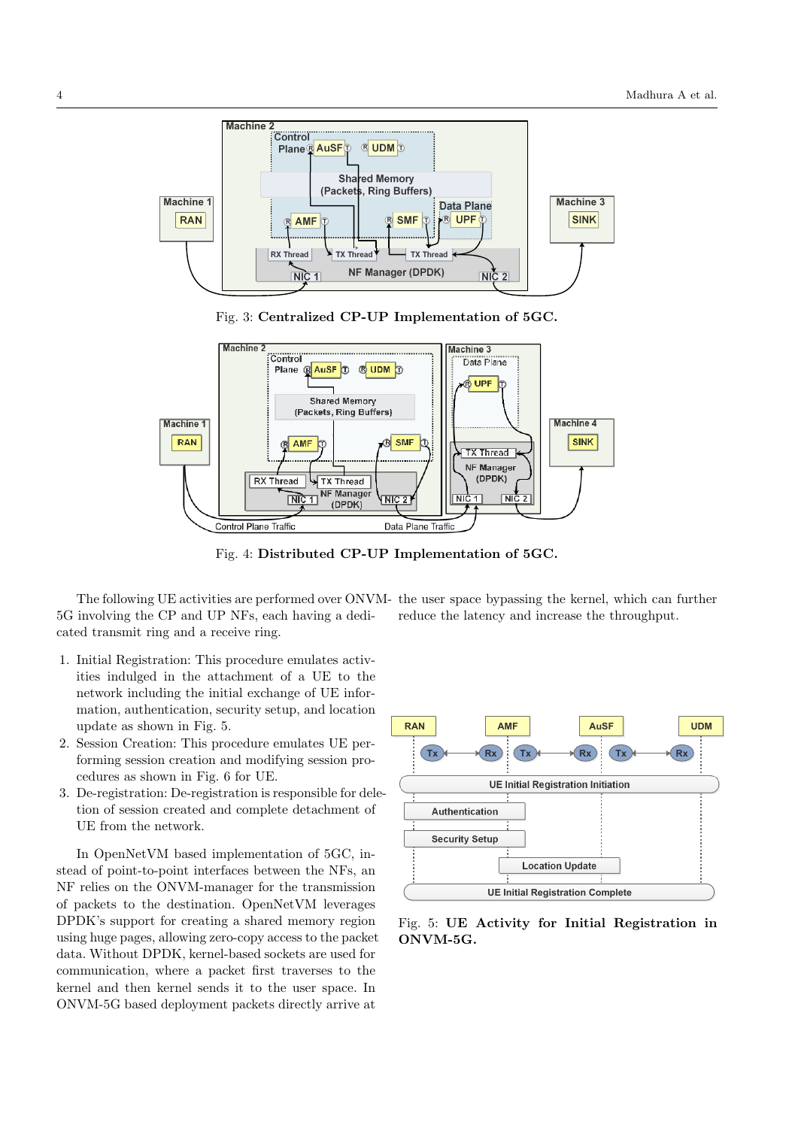

Fig. 3: Centralized CP-UP Implementation of 5GC.



Fig. 4: Distributed CP-UP Implementation of 5GC.

The following UE activities are performed over ONVM-the user space bypassing the kernel, which can further 5G involving the CP and UP NFs, each having a dedicated transmit ring and a receive ring.

- 1. Initial Registration: This procedure emulates activities indulged in the attachment of a UE to the network including the initial exchange of UE information, authentication, security setup, and location update as shown in Fig. 5.
- 2. Session Creation: This procedure emulates UE performing session creation and modifying session procedures as shown in Fig. 6 for UE.
- 3. De-registration: De-registration is responsible for deletion of session created and complete detachment of UE from the network.

In OpenNetVM based implementation of 5GC, instead of point-to-point interfaces between the NFs, an NF relies on the ONVM-manager for the transmission of packets to the destination. OpenNetVM leverages DPDK's support for creating a shared memory region using huge pages, allowing zero-copy access to the packet data. Without DPDK, kernel-based sockets are used for communication, where a packet first traverses to the kernel and then kernel sends it to the user space. In ONVM-5G based deployment packets directly arrive at



reduce the latency and increase the throughput.

Fig. 5: UE Activity for Initial Registration in ONVM-5G.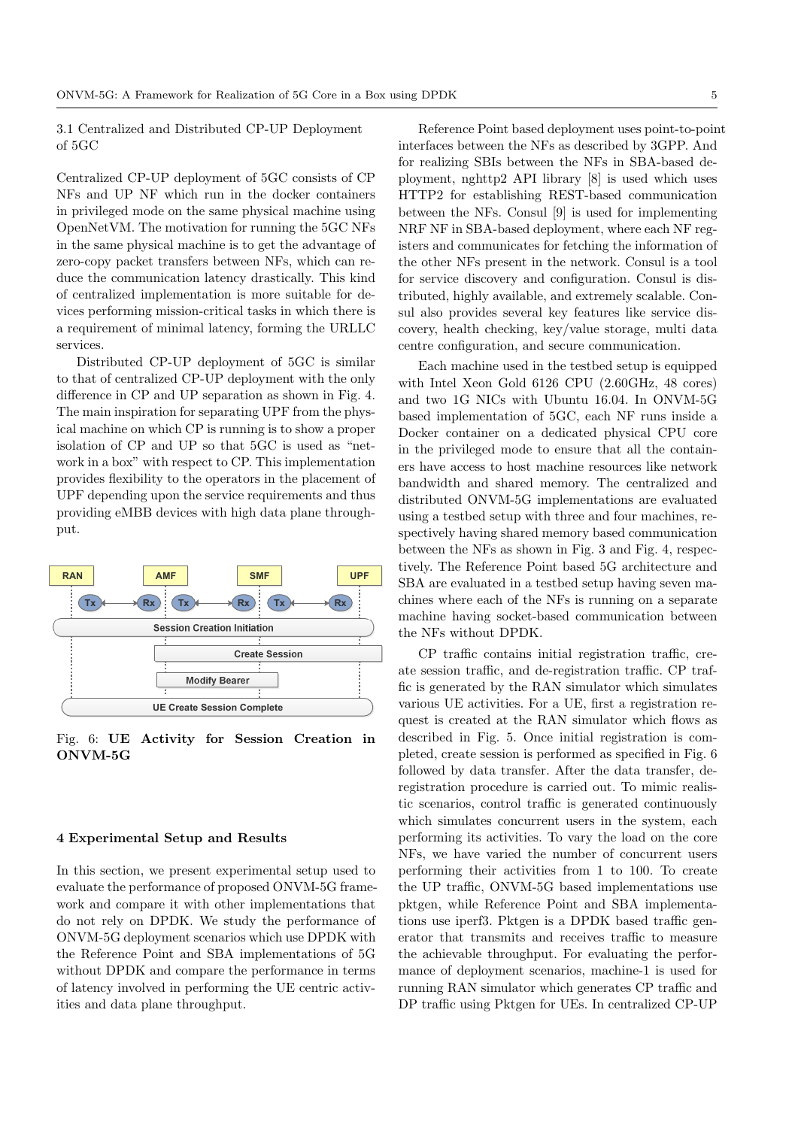3.1 Centralized and Distributed CP-UP Deployment of 5GC

Centralized CP-UP deployment of 5GC consists of CP NFs and UP NF which run in the docker containers in privileged mode on the same physical machine using OpenNetVM. The motivation for running the 5GC NFs in the same physical machine is to get the advantage of zero-copy packet transfers between NFs, which can reduce the communication latency drastically. This kind of centralized implementation is more suitable for devices performing mission-critical tasks in which there is a requirement of minimal latency, forming the URLLC services.

Distributed CP-UP deployment of 5GC is similar to that of centralized CP-UP deployment with the only difference in CP and UP separation as shown in Fig. 4. The main inspiration for separating UPF from the physical machine on which CP is running is to show a proper isolation of CP and UP so that 5GC is used as "network in a box" with respect to CP. This implementation provides flexibility to the operators in the placement of UPF depending upon the service requirements and thus providing eMBB devices with high data plane throughput.



Fig. 6: UE Activity for Session Creation in ONVM-5G

## 4 Experimental Setup and Results

In this section, we present experimental setup used to evaluate the performance of proposed ONVM-5G framework and compare it with other implementations that do not rely on DPDK. We study the performance of ONVM-5G deployment scenarios which use DPDK with the Reference Point and SBA implementations of 5G without DPDK and compare the performance in terms of latency involved in performing the UE centric activities and data plane throughput.

Reference Point based deployment uses point-to-point interfaces between the NFs as described by 3GPP. And for realizing SBIs between the NFs in SBA-based deployment, nghttp2 API library [8] is used which uses HTTP2 for establishing REST-based communication between the NFs. Consul [9] is used for implementing NRF NF in SBA-based deployment, where each NF registers and communicates for fetching the information of the other NFs present in the network. Consul is a tool for service discovery and configuration. Consul is distributed, highly available, and extremely scalable. Consul also provides several key features like service discovery, health checking, key/value storage, multi data centre configuration, and secure communication.

Each machine used in the testbed setup is equipped with Intel Xeon Gold 6126 CPU (2.60GHz, 48 cores) and two 1G NICs with Ubuntu 16.04. In ONVM-5G based implementation of 5GC, each NF runs inside a Docker container on a dedicated physical CPU core in the privileged mode to ensure that all the containers have access to host machine resources like network bandwidth and shared memory. The centralized and distributed ONVM-5G implementations are evaluated using a testbed setup with three and four machines, respectively having shared memory based communication between the NFs as shown in Fig. 3 and Fig. 4, respectively. The Reference Point based 5G architecture and SBA are evaluated in a testbed setup having seven machines where each of the NFs is running on a separate machine having socket-based communication between the NFs without DPDK.

CP traffic contains initial registration traffic, create session traffic, and de-registration traffic. CP traffic is generated by the RAN simulator which simulates various UE activities. For a UE, first a registration request is created at the RAN simulator which flows as described in Fig. 5. Once initial registration is completed, create session is performed as specified in Fig. 6 followed by data transfer. After the data transfer, deregistration procedure is carried out. To mimic realistic scenarios, control traffic is generated continuously which simulates concurrent users in the system, each performing its activities. To vary the load on the core NFs, we have varied the number of concurrent users performing their activities from 1 to 100. To create the UP traffic, ONVM-5G based implementations use pktgen, while Reference Point and SBA implementations use iperf3. Pktgen is a DPDK based traffic generator that transmits and receives traffic to measure the achievable throughput. For evaluating the performance of deployment scenarios, machine-1 is used for running RAN simulator which generates CP traffic and DP traffic using Pktgen for UEs. In centralized CP-UP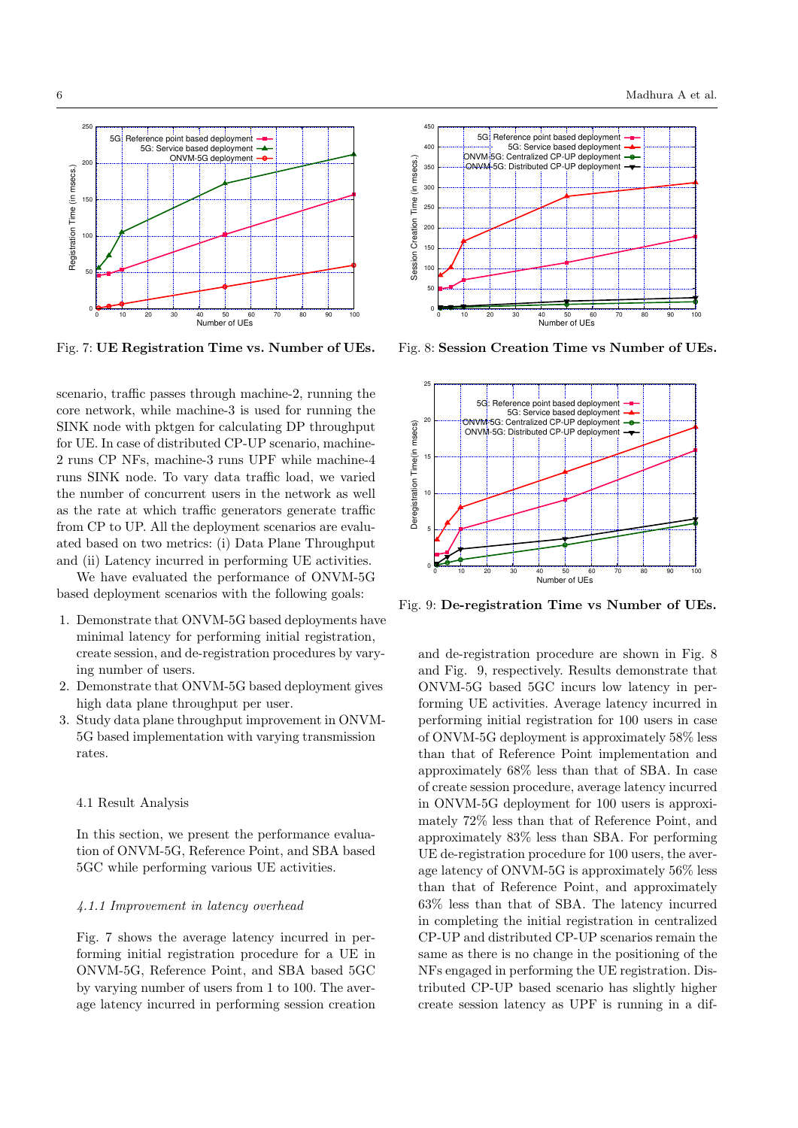

Fig. 7: UE Registration Time vs. Number of UEs.

scenario, traffic passes through machine-2, running the core network, while machine-3 is used for running the SINK node with pktgen for calculating DP throughput for UE. In case of distributed CP-UP scenario, machine-2 runs CP NFs, machine-3 runs UPF while machine-4 runs SINK node. To vary data traffic load, we varied the number of concurrent users in the network as well as the rate at which traffic generators generate traffic from CP to UP. All the deployment scenarios are evaluated based on two metrics: (i) Data Plane Throughput and (ii) Latency incurred in performing UE activities.

We have evaluated the performance of ONVM-5G based deployment scenarios with the following goals:

- 1. Demonstrate that ONVM-5G based deployments have minimal latency for performing initial registration, create session, and de-registration procedures by varying number of users.
- 2. Demonstrate that ONVM-5G based deployment gives high data plane throughput per user.
- 3. Study data plane throughput improvement in ONVM-5G based implementation with varying transmission rates.

#### 4.1 Result Analysis

In this section, we present the performance evaluation of ONVM-5G, Reference Point, and SBA based 5GC while performing various UE activities.

#### 4.1.1 Improvement in latency overhead

Fig. 7 shows the average latency incurred in performing initial registration procedure for a UE in ONVM-5G, Reference Point, and SBA based 5GC by varying number of users from 1 to 100. The average latency incurred in performing session creation



Fig. 8: Session Creation Time vs Number of UEs.



Fig. 9: De-registration Time vs Number of UEs.

and de-registration procedure are shown in Fig. 8 and Fig. 9, respectively. Results demonstrate that ONVM-5G based 5GC incurs low latency in performing UE activities. Average latency incurred in performing initial registration for 100 users in case of ONVM-5G deployment is approximately 58% less than that of Reference Point implementation and approximately 68% less than that of SBA. In case of create session procedure, average latency incurred in ONVM-5G deployment for 100 users is approximately 72% less than that of Reference Point, and approximately 83% less than SBA. For performing UE de-registration procedure for 100 users, the average latency of ONVM-5G is approximately 56% less than that of Reference Point, and approximately 63% less than that of SBA. The latency incurred in completing the initial registration in centralized CP-UP and distributed CP-UP scenarios remain the same as there is no change in the positioning of the NFs engaged in performing the UE registration. Distributed CP-UP based scenario has slightly higher create session latency as UPF is running in a dif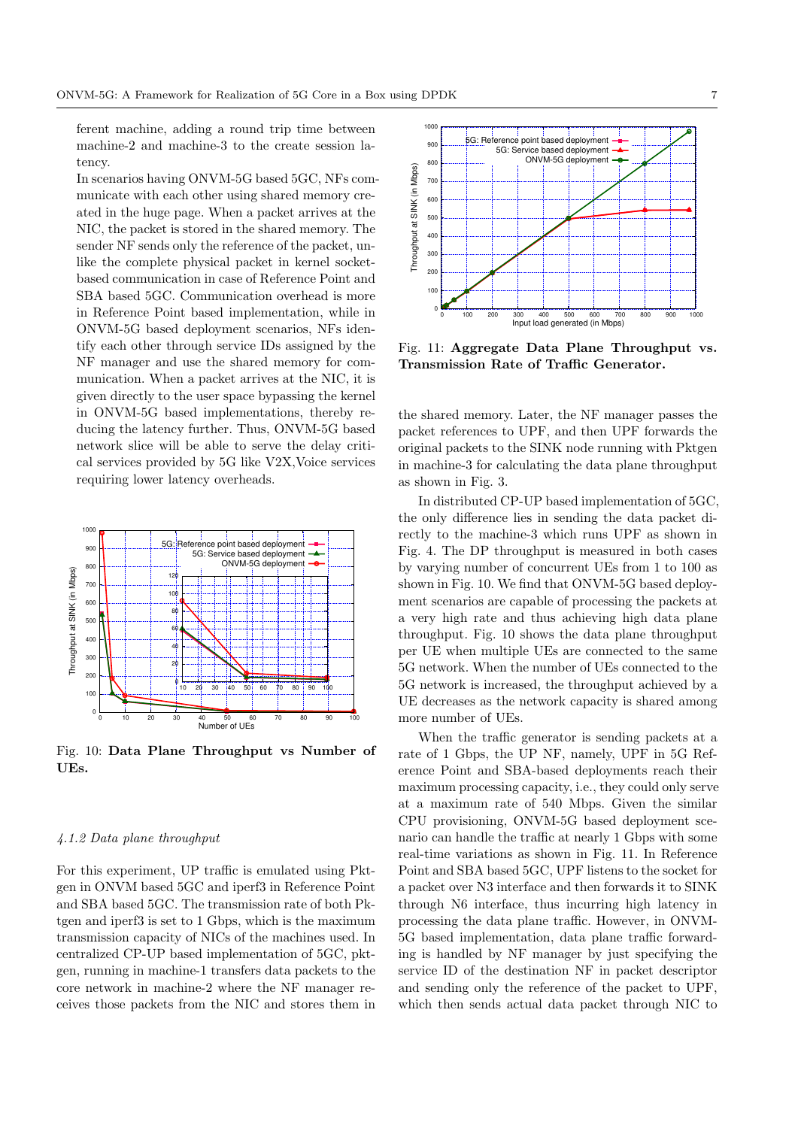ferent machine, adding a round trip time between machine-2 and machine-3 to the create session latency.

In scenarios having ONVM-5G based 5GC, NFs communicate with each other using shared memory created in the huge page. When a packet arrives at the NIC, the packet is stored in the shared memory. The sender NF sends only the reference of the packet, unlike the complete physical packet in kernel socketbased communication in case of Reference Point and SBA based 5GC. Communication overhead is more in Reference Point based implementation, while in ONVM-5G based deployment scenarios, NFs identify each other through service IDs assigned by the NF manager and use the shared memory for communication. When a packet arrives at the NIC, it is given directly to the user space bypassing the kernel in ONVM-5G based implementations, thereby reducing the latency further. Thus, ONVM-5G based network slice will be able to serve the delay critical services provided by 5G like V2X,Voice services requiring lower latency overheads.



Fig. 10: Data Plane Throughput vs Number of UEs.

# 4.1.2 Data plane throughput

For this experiment, UP traffic is emulated using Pktgen in ONVM based 5GC and iperf3 in Reference Point and SBA based 5GC. The transmission rate of both Pktgen and iperf3 is set to 1 Gbps, which is the maximum transmission capacity of NICs of the machines used. In centralized CP-UP based implementation of 5GC, pktgen, running in machine-1 transfers data packets to the core network in machine-2 where the NF manager receives those packets from the NIC and stores them in



Fig. 11: Aggregate Data Plane Throughput vs. Transmission Rate of Traffic Generator.

the shared memory. Later, the NF manager passes the packet references to UPF, and then UPF forwards the original packets to the SINK node running with Pktgen in machine-3 for calculating the data plane throughput as shown in Fig. 3.

In distributed CP-UP based implementation of 5GC, the only difference lies in sending the data packet directly to the machine-3 which runs UPF as shown in Fig. 4. The DP throughput is measured in both cases by varying number of concurrent UEs from 1 to 100 as shown in Fig. 10. We find that ONVM-5G based deployment scenarios are capable of processing the packets at a very high rate and thus achieving high data plane throughput. Fig. 10 shows the data plane throughput per UE when multiple UEs are connected to the same 5G network. When the number of UEs connected to the 5G network is increased, the throughput achieved by a UE decreases as the network capacity is shared among more number of UEs.

When the traffic generator is sending packets at a rate of 1 Gbps, the UP NF, namely, UPF in 5G Reference Point and SBA-based deployments reach their maximum processing capacity, i.e., they could only serve at a maximum rate of 540 Mbps. Given the similar CPU provisioning, ONVM-5G based deployment scenario can handle the traffic at nearly 1 Gbps with some real-time variations as shown in Fig. 11. In Reference Point and SBA based 5GC, UPF listens to the socket for a packet over N3 interface and then forwards it to SINK through N6 interface, thus incurring high latency in processing the data plane traffic. However, in ONVM-5G based implementation, data plane traffic forwarding is handled by NF manager by just specifying the service ID of the destination NF in packet descriptor and sending only the reference of the packet to UPF, which then sends actual data packet through NIC to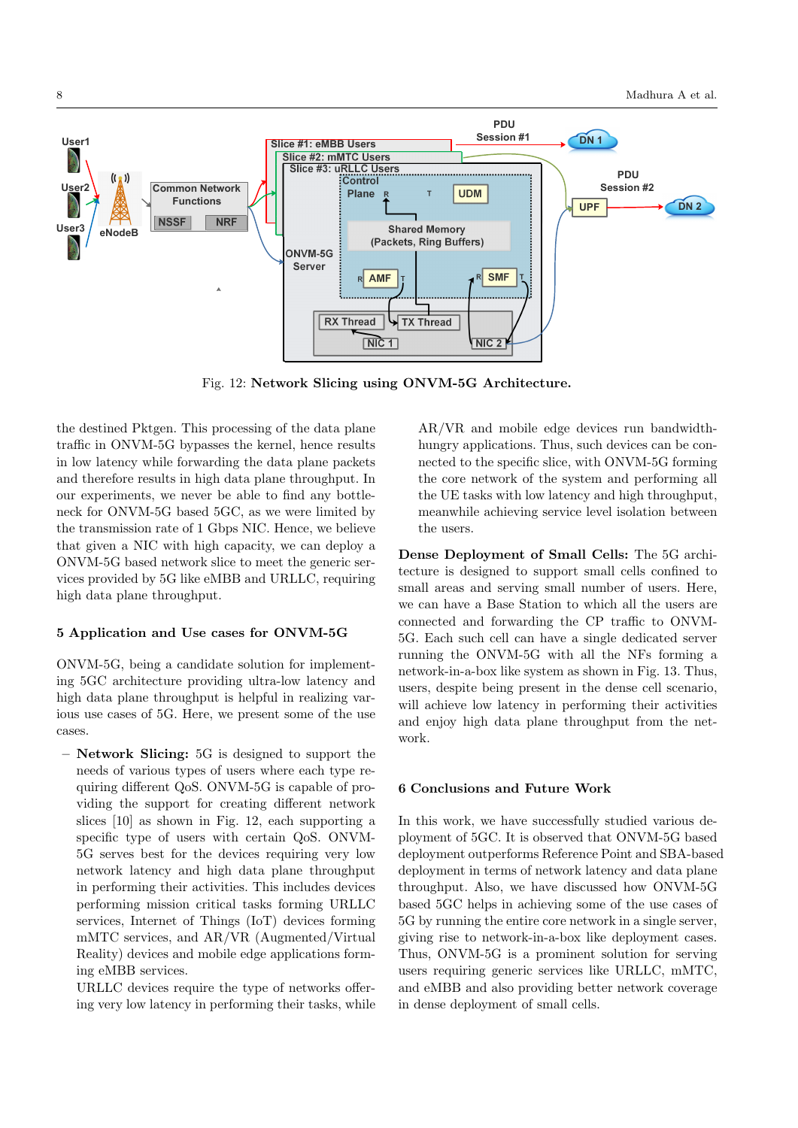**PDU Session #1 DN 1 User1 Slice #1: eMBB Users Slice #2: mMTC Users** Slice #3: uRLLC Users **PDU**  Control **Common Network User2 Session #2** Plane **UDM Functions DN 2 UPF UPF NRF NSSE User3 Shared Memory eNodeB** (Packets, Ring Buffers) ONVM-5G Server **SMF AMF RX Thread TX Thread**  $\overline{\text{NIC 1}}$ NIC<sub>2</sub>

Fig. 12: Network Slicing using ONVM-5G Architecture.

the destined Pktgen. This processing of the data plane traffic in ONVM-5G bypasses the kernel, hence results in low latency while forwarding the data plane packets and therefore results in high data plane throughput. In our experiments, we never be able to find any bottleneck for ONVM-5G based 5GC, as we were limited by the transmission rate of 1 Gbps NIC. Hence, we believe that given a NIC with high capacity, we can deploy a ONVM-5G based network slice to meet the generic services provided by 5G like eMBB and URLLC, requiring high data plane throughput.

# 5 Application and Use cases for ONVM-5G

ONVM-5G, being a candidate solution for implementing 5GC architecture providing ultra-low latency and high data plane throughput is helpful in realizing various use cases of 5G. Here, we present some of the use cases.

– Network Slicing: 5G is designed to support the needs of various types of users where each type requiring different QoS. ONVM-5G is capable of providing the support for creating different network slices [10] as shown in Fig. 12, each supporting a specific type of users with certain QoS. ONVM-5G serves best for the devices requiring very low network latency and high data plane throughput in performing their activities. This includes devices performing mission critical tasks forming URLLC services, Internet of Things (IoT) devices forming mMTC services, and AR/VR (Augmented/Virtual Reality) devices and mobile edge applications forming eMBB services.

URLLC devices require the type of networks offering very low latency in performing their tasks, while

AR/VR and mobile edge devices run bandwidthhungry applications. Thus, such devices can be connected to the specific slice, with ONVM-5G forming the core network of the system and performing all the UE tasks with low latency and high throughput, meanwhile achieving service level isolation between the users.

Dense Deployment of Small Cells: The 5G architecture is designed to support small cells confined to small areas and serving small number of users. Here, we can have a Base Station to which all the users are connected and forwarding the CP traffic to ONVM-5G. Each such cell can have a single dedicated server running the ONVM-5G with all the NFs forming a network-in-a-box like system as shown in Fig. 13. Thus, users, despite being present in the dense cell scenario, will achieve low latency in performing their activities and enjoy high data plane throughput from the network.

## 6 Conclusions and Future Work

In this work, we have successfully studied various deployment of 5GC. It is observed that ONVM-5G based deployment outperforms Reference Point and SBA-based deployment in terms of network latency and data plane throughput. Also, we have discussed how ONVM-5G based 5GC helps in achieving some of the use cases of 5G by running the entire core network in a single server, giving rise to network-in-a-box like deployment cases. Thus, ONVM-5G is a prominent solution for serving users requiring generic services like URLLC, mMTC, and eMBB and also providing better network coverage in dense deployment of small cells.